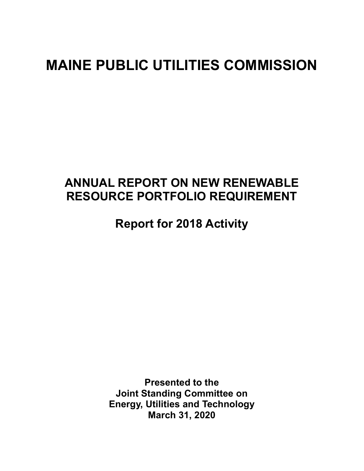# MAINE PUBLIC UTILITIES COMMISSION

## ANNUAL REPORT ON NEW RENEWABLE RESOURCE PORTFOLIO REQUIREMENT

Report for 2018 Activity

Presented to the Joint Standing Committee on Energy, Utilities and Technology March 31, 2020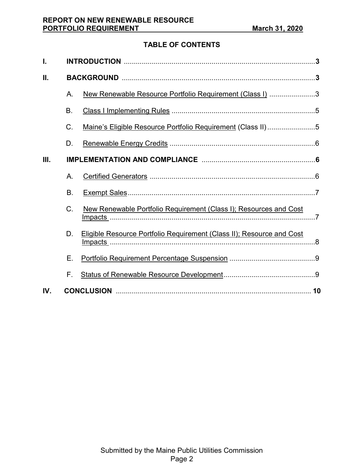## TABLE OF CONTENTS

| I.  |           |                                                                       |  |  |  |
|-----|-----------|-----------------------------------------------------------------------|--|--|--|
| П.  |           |                                                                       |  |  |  |
|     | А.        | New Renewable Resource Portfolio Requirement (Class I) 3              |  |  |  |
|     | <b>B.</b> |                                                                       |  |  |  |
|     | C.        | Maine's Eligible Resource Portfolio Requirement (Class II)5           |  |  |  |
|     | D.        |                                                                       |  |  |  |
| Ш.  |           |                                                                       |  |  |  |
|     | А.        |                                                                       |  |  |  |
|     | <b>B.</b> |                                                                       |  |  |  |
|     | C.        | New Renewable Portfolio Requirement (Class I); Resources and Cost     |  |  |  |
|     | D.        | Eligible Resource Portfolio Requirement (Class II); Resource and Cost |  |  |  |
|     | Ε.        |                                                                       |  |  |  |
|     | F.        |                                                                       |  |  |  |
| IV. |           |                                                                       |  |  |  |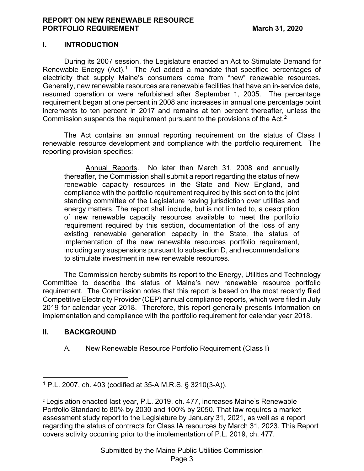#### I. INTRODUCTION

During its 2007 session, the Legislature enacted an Act to Stimulate Demand for Renewable Energy (Act).<sup>1</sup> The Act added a mandate that specified percentages of electricity that supply Maine's consumers come from "new" renewable resources. Generally, new renewable resources are renewable facilities that have an in-service date, resumed operation or were refurbished after September 1, 2005. The percentage requirement began at one percent in 2008 and increases in annual one percentage point increments to ten percent in 2017 and remains at ten percent thereafter, unless the Commission suspends the requirement pursuant to the provisions of the Act.<sup>2</sup>

The Act contains an annual reporting requirement on the status of Class I renewable resource development and compliance with the portfolio requirement. The reporting provision specifies:

Annual Reports. No later than March 31, 2008 and annually thereafter, the Commission shall submit a report regarding the status of new renewable capacity resources in the State and New England, and compliance with the portfolio requirement required by this section to the joint standing committee of the Legislature having jurisdiction over utilities and energy matters. The report shall include, but is not limited to, a description of new renewable capacity resources available to meet the portfolio requirement required by this section, documentation of the loss of any existing renewable generation capacity in the State, the status of implementation of the new renewable resources portfolio requirement, including any suspensions pursuant to subsection D, and recommendations to stimulate investment in new renewable resources.

The Commission hereby submits its report to the Energy, Utilities and Technology Committee to describe the status of Maine's new renewable resource portfolio requirement. The Commission notes that this report is based on the most recently filed Competitive Electricity Provider (CEP) annual compliance reports, which were filed in July 2019 for calendar year 2018. Therefore, this report generally presents information on implementation and compliance with the portfolio requirement for calendar year 2018.

## II. BACKGROUND

 $\overline{a}$ 

#### A. New Renewable Resource Portfolio Requirement (Class I)

<sup>1</sup> P.L. 2007, ch. 403 (codified at 35-A M.R.S. § 3210(3-A)).

<sup>2</sup> Legislation enacted last year, P.L. 2019, ch. 477, increases Maine's Renewable Portfolio Standard to 80% by 2030 and 100% by 2050. That law requires a market assessment study report to the Legislature by January 31, 2021, as well as a report regarding the status of contracts for Class IA resources by March 31, 2023. This Report covers activity occurring prior to the implementation of P.L. 2019, ch. 477.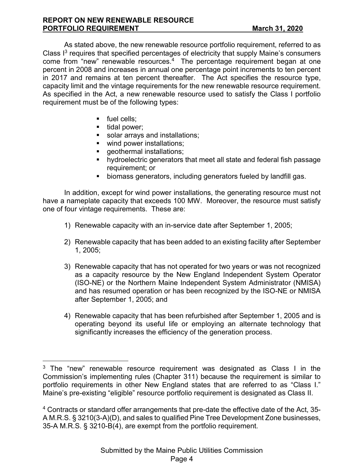As stated above, the new renewable resource portfolio requirement, referred to as Class  $I<sup>3</sup>$  requires that specified percentages of electricity that supply Maine's consumers come from "new" renewable resources.<sup>4</sup> The percentage requirement began at one percent in 2008 and increases in annual one percentage point increments to ten percent in 2017 and remains at ten percent thereafter. The Act specifies the resource type, capacity limit and the vintage requirements for the new renewable resource requirement. As specified in the Act, a new renewable resource used to satisfy the Class I portfolio requirement must be of the following types:

**fuel cells:** 

 $\overline{a}$ 

- $\blacksquare$  tidal power;
- solar arrays and installations;
- wind power installations;
- **qeothermal installations;**
- **•** hydroelectric generators that meet all state and federal fish passage requirement; or
- biomass generators, including generators fueled by landfill gas.

 In addition, except for wind power installations, the generating resource must not have a nameplate capacity that exceeds 100 MW. Moreover, the resource must satisfy one of four vintage requirements. These are:

- 1) Renewable capacity with an in-service date after September 1, 2005;
- 2) Renewable capacity that has been added to an existing facility after September 1, 2005;
- 3) Renewable capacity that has not operated for two years or was not recognized as a capacity resource by the New England Independent System Operator (ISO-NE) or the Northern Maine Independent System Administrator (NMISA) and has resumed operation or has been recognized by the ISO-NE or NMISA after September 1, 2005; and
- 4) Renewable capacity that has been refurbished after September 1, 2005 and is operating beyond its useful life or employing an alternate technology that significantly increases the efficiency of the generation process.

 $3$  The "new" renewable resource requirement was designated as Class I in the Commission's implementing rules (Chapter 311) because the requirement is similar to portfolio requirements in other New England states that are referred to as "Class I." Maine's pre-existing "eligible" resource portfolio requirement is designated as Class II.

 $4$  Contracts or standard offer arrangements that pre-date the effective date of the Act, 35-A M.R.S. § 3210(3-A)(D), and sales to qualified Pine Tree Development Zone businesses, 35-A M.R.S. § 3210-B(4), are exempt from the portfolio requirement.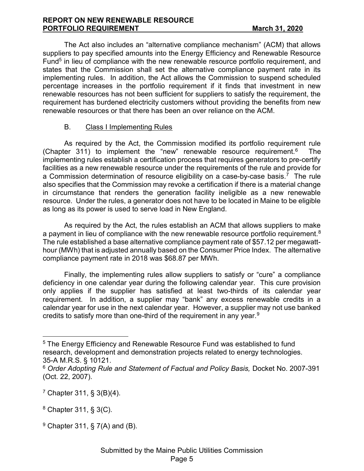#### REPORT ON NEW RENEWABLE RESOURCE PORTFOLIO REQUIREMENT March 31, 2020

The Act also includes an "alternative compliance mechanism" (ACM) that allows suppliers to pay specified amounts into the Energy Efficiency and Renewable Resource Fund<sup>5</sup> in lieu of compliance with the new renewable resource portfolio requirement, and states that the Commission shall set the alternative compliance payment rate in its implementing rules. In addition, the Act allows the Commission to suspend scheduled percentage increases in the portfolio requirement if it finds that investment in new renewable resources has not been sufficient for suppliers to satisfy the requirement, the requirement has burdened electricity customers without providing the benefits from new renewable resources or that there has been an over reliance on the ACM.

## B. Class I Implementing Rules

As required by the Act, the Commission modified its portfolio requirement rule (Chapter 311) to implement the "new" renewable resource requirement. $6$  The implementing rules establish a certification process that requires generators to pre-certify facilities as a new renewable resource under the requirements of the rule and provide for a Commission determination of resource eligibility on a case-by-case basis.<sup>7</sup> The rule also specifies that the Commission may revoke a certification if there is a material change in circumstance that renders the generation facility ineligible as a new renewable resource. Under the rules, a generator does not have to be located in Maine to be eligible as long as its power is used to serve load in New England.

As required by the Act, the rules establish an ACM that allows suppliers to make a payment in lieu of compliance with the new renewable resource portfolio requirement.<sup>8</sup> The rule established a base alternative compliance payment rate of \$57.12 per megawatthour (MWh) that is adjusted annually based on the Consumer Price Index. The alternative compliance payment rate in 2018 was \$68.87 per MWh.

Finally, the implementing rules allow suppliers to satisfy or "cure" a compliance deficiency in one calendar year during the following calendar year. This cure provision only applies if the supplier has satisfied at least two-thirds of its calendar year requirement. In addition, a supplier may "bank" any excess renewable credits in a calendar year for use in the next calendar year. However, a supplier may not use banked credits to satisfy more than one-third of the requirement in any year. $^9$ 

 $\overline{a}$ 

<sup>&</sup>lt;sup>5</sup> The Energy Efficiency and Renewable Resource Fund was established to fund research, development and demonstration projects related to energy technologies. 35-A M.R.S. § 10121.

<sup>&</sup>lt;sup>6</sup> Order Adopting Rule and Statement of Factual and Policy Basis, Docket No. 2007-391 (Oct. 22, 2007).

<sup>7</sup> Chapter 311, § 3(B)(4).

 $8$  Chapter 311, § 3(C).

 $9$  Chapter 311, § 7(A) and (B).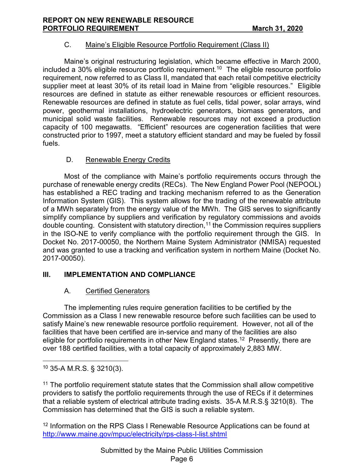## C. Maine's Eligible Resource Portfolio Requirement (Class II)

 Maine's original restructuring legislation, which became effective in March 2000, included a 30% eligible resource portfolio requirement.<sup>10</sup> The eligible resource portfolio requirement, now referred to as Class II, mandated that each retail competitive electricity supplier meet at least 30% of its retail load in Maine from "eligible resources." Eligible resources are defined in statute as either renewable resources or efficient resources. Renewable resources are defined in statute as fuel cells, tidal power, solar arrays, wind power, geothermal installations, hydroelectric generators, biomass generators, and municipal solid waste facilities. Renewable resources may not exceed a production capacity of 100 megawatts. "Efficient" resources are cogeneration facilities that were constructed prior to 1997, meet a statutory efficient standard and may be fueled by fossil fuels.

## D. Renewable Energy Credits

Most of the compliance with Maine's portfolio requirements occurs through the purchase of renewable energy credits (RECs). The New England Power Pool (NEPOOL) has established a REC trading and tracking mechanism referred to as the Generation Information System (GIS). This system allows for the trading of the renewable attribute of a MWh separately from the energy value of the MWh. The GIS serves to significantly simplify compliance by suppliers and verification by regulatory commissions and avoids double counting. Consistent with statutory direction,  $11$  the Commission requires suppliers in the ISO-NE to verify compliance with the portfolio requirement through the GIS. In Docket No. 2017-00050, the Northern Maine System Administrator (NMISA) requested and was granted to use a tracking and verification system in northern Maine (Docket No. 2017-00050).

## III. IMPLEMENTATION AND COMPLIANCE

## A. Certified Generators

The implementing rules require generation facilities to be certified by the Commission as a Class I new renewable resource before such facilities can be used to satisfy Maine's new renewable resource portfolio requirement. However, not all of the facilities that have been certified are in-service and many of the facilities are also eligible for portfolio requirements in other New England states.<sup>12</sup> Presently, there are over 188 certified facilities, with a total capacity of approximately 2,883 MW.

<sup>11</sup> The portfolio requirement statute states that the Commission shall allow competitive providers to satisfy the portfolio requirements through the use of RECs if it determines that a reliable system of electrical attribute trading exists. 35-A M.R.S.§ 3210(8). The Commission has determined that the GIS is such a reliable system.

<sup>12</sup> Information on the RPS Class I Renewable Resource Applications can be found at http://www.maine.gov/mpuc/electricity/rps-class-I-list.shtml

 $\overline{a}$  $10$  35-A M.R.S. § 3210(3).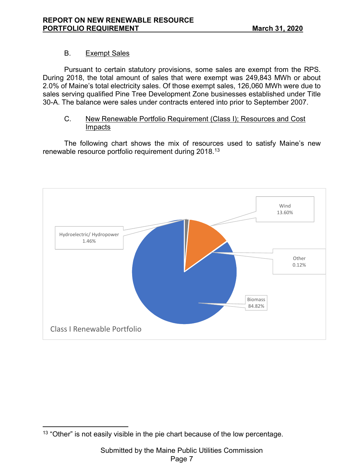## B. Exempt Sales

 Pursuant to certain statutory provisions, some sales are exempt from the RPS. During 2018, the total amount of sales that were exempt was 249,843 MWh or about 2.0% of Maine's total electricity sales. Of those exempt sales, 126,060 MWh were due to sales serving qualified Pine Tree Development Zone businesses established under Title 30-A. The balance were sales under contracts entered into prior to September 2007.

#### C. New Renewable Portfolio Requirement (Class I); Resources and Cost Impacts

 The following chart shows the mix of resources used to satisfy Maine's new renewable resource portfolio requirement during 2018.<sup>13</sup>



 $\overline{a}$  $13$  "Other" is not easily visible in the pie chart because of the low percentage.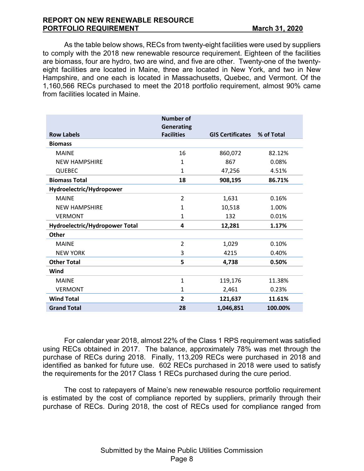#### REPORT ON NEW RENEWABLE RESOURCE PORTFOLIO REQUIREMENT March 31, 2020

As the table below shows, RECs from twenty-eight facilities were used by suppliers to comply with the 2018 new renewable resource requirement. Eighteen of the facilities are biomass, four are hydro, two are wind, and five are other. Twenty-one of the twentyeight facilities are located in Maine, three are located in New York, and two in New Hampshire, and one each is located in Massachusetts, Quebec, and Vermont. Of the 1,160,566 RECs purchased to meet the 2018 portfolio requirement, almost 90% came from facilities located in Maine.

|                                | <b>Number of</b><br><b>Generating</b> |                         |            |
|--------------------------------|---------------------------------------|-------------------------|------------|
| <b>Row Labels</b>              | <b>Facilities</b>                     | <b>GIS Certificates</b> | % of Total |
| <b>Biomass</b>                 |                                       |                         |            |
| <b>MAINE</b>                   | 16                                    | 860,072                 | 82.12%     |
| <b>NEW HAMPSHIRE</b>           | 1                                     | 867                     | 0.08%      |
| <b>QUEBEC</b>                  | 1                                     | 47,256                  | 4.51%      |
| <b>Biomass Total</b>           | 18                                    | 908,195                 | 86.71%     |
| Hydroelectric/Hydropower       |                                       |                         |            |
| <b>MAINE</b>                   | $\overline{2}$                        | 1,631                   | 0.16%      |
| <b>NEW HAMPSHIRE</b>           | 1                                     | 10,518                  | 1.00%      |
| <b>VERMONT</b>                 | 1                                     | 132                     | 0.01%      |
| Hydroelectric/Hydropower Total | 4                                     | 12,281                  | 1.17%      |
| <b>Other</b>                   |                                       |                         |            |
| <b>MAINE</b>                   | $\overline{2}$                        | 1,029                   | 0.10%      |
| <b>NEW YORK</b>                | 3                                     | 4215                    | 0.40%      |
| <b>Other Total</b>             | 5                                     | 4,738                   | 0.50%      |
| Wind                           |                                       |                         |            |
| <b>MAINE</b>                   | 1                                     | 119,176                 | 11.38%     |
| <b>VERMONT</b>                 | 1                                     | 2,461                   | 0.23%      |
| <b>Wind Total</b>              | $\mathbf{2}$                          | 121,637                 | 11.61%     |
| <b>Grand Total</b>             | 28                                    | 1,046,851               | 100.00%    |

For calendar year 2018, almost 22% of the Class 1 RPS requirement was satisfied using RECs obtained in 2017. The balance, approximately 78% was met through the purchase of RECs during 2018. Finally, 113,209 RECs were purchased in 2018 and identified as banked for future use. 602 RECs purchased in 2018 were used to satisfy the requirements for the 2017 Class 1 RECs purchased during the cure period.

The cost to ratepayers of Maine's new renewable resource portfolio requirement is estimated by the cost of compliance reported by suppliers, primarily through their purchase of RECs. During 2018, the cost of RECs used for compliance ranged from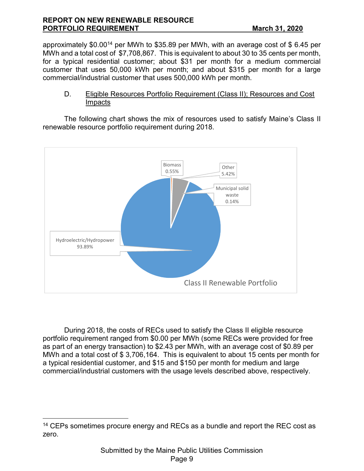#### REPORT ON NEW RENEWABLE RESOURCE PORTFOLIO REQUIREMENT **March 31, 2020**

approximately \$0.00<sup>14</sup> per MWh to \$35.89 per MWh, with an average cost of \$ 6.45 per MWh and a total cost of \$7,708,867. This is equivalent to about 30 to 35 cents per month, for a typical residential customer; about \$31 per month for a medium commercial customer that uses 50,000 kWh per month; and about \$315 per month for a large commercial/industrial customer that uses 500,000 kWh per month.

#### D. Eligible Resources Portfolio Requirement (Class II); Resources and Cost Impacts

 The following chart shows the mix of resources used to satisfy Maine's Class II renewable resource portfolio requirement during 2018.



During 2018, the costs of RECs used to satisfy the Class II eligible resource portfolio requirement ranged from \$0.00 per MWh (some RECs were provided for free as part of an energy transaction) to \$2.43 per MWh, with an average cost of \$0.89 per MWh and a total cost of \$ 3,706,164. This is equivalent to about 15 cents per month for a typical residential customer, and \$15 and \$150 per month for medium and large commercial/industrial customers with the usage levels described above, respectively.

 $\overline{a}$ 

<sup>&</sup>lt;sup>14</sup> CEPs sometimes procure energy and RECs as a bundle and report the REC cost as zero.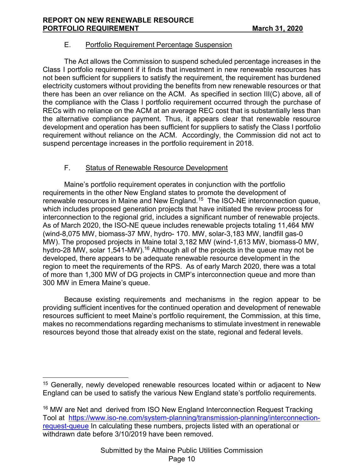## E. Portfolio Requirement Percentage Suspension

The Act allows the Commission to suspend scheduled percentage increases in the Class I portfolio requirement if it finds that investment in new renewable resources has not been sufficient for suppliers to satisfy the requirement, the requirement has burdened electricity customers without providing the benefits from new renewable resources or that there has been an over reliance on the ACM. As specified in section III(C) above, all of the compliance with the Class I portfolio requirement occurred through the purchase of RECs with no reliance on the ACM at an average REC cost that is substantially less than the alternative compliance payment. Thus, it appears clear that renewable resource development and operation has been sufficient for suppliers to satisfy the Class I portfolio requirement without reliance on the ACM. Accordingly, the Commission did not act to suspend percentage increases in the portfolio requirement in 2018.

## F. Status of Renewable Resource Development

Maine's portfolio requirement operates in conjunction with the portfolio requirements in the other New England states to promote the development of renewable resources in Maine and New England.<sup>15</sup> The ISO-NE interconnection queue, which includes proposed generation projects that have initiated the review process for interconnection to the regional grid, includes a significant number of renewable projects. As of March 2020, the ISO-NE queue includes renewable projects totaling 11,464 MW (wind-8,075 MW, biomass-37 MW, hydro- 170. MW, solar-3,183 MW, landfill gas-0 MW). The proposed projects in Maine total 3,182 MW (wind-1,613 MW, biomass-0 MW, hydro-28 MW, solar 1,541-MW).<sup>16</sup> Although all of the projects in the queue may not be developed, there appears to be adequate renewable resource development in the region to meet the requirements of the RPS. As of early March 2020, there was a total of more than 1,300 MW of DG projects in CMP's interconnection queue and more than 300 MW in Emera Maine's queue.

 Because existing requirements and mechanisms in the region appear to be providing sufficient incentives for the continued operation and development of renewable resources sufficient to meet Maine's portfolio requirement, the Commission, at this time, makes no recommendations regarding mechanisms to stimulate investment in renewable resources beyond those that already exist on the state, regional and federal levels.

 $\overline{a}$ 

<sup>&</sup>lt;sup>15</sup> Generally, newly developed renewable resources located within or adjacent to New England can be used to satisfy the various New England state's portfolio requirements.

<sup>&</sup>lt;sup>16</sup> MW are Net and derived from ISO New England Interconnection Request Tracking Tool at https://www.iso-ne.com/system-planning/transmission-planning/interconnectionrequest-queue In calculating these numbers, projects listed with an operational or withdrawn date before 3/10/2019 have been removed.